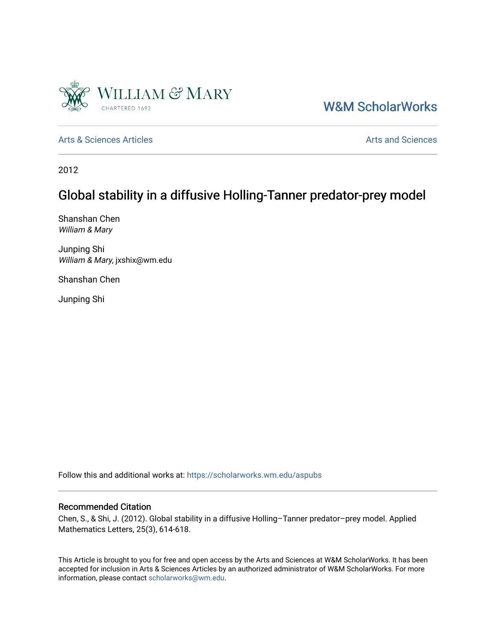

# [W&M ScholarWorks](https://scholarworks.wm.edu/)

[Arts & Sciences Articles](https://scholarworks.wm.edu/aspubs) **Articles** [Arts and Sciences](https://scholarworks.wm.edu/as) Articles Arts and Sciences Arts and Sciences Articles Arts and Sciences Arts and Sciences Articles Arts and Sciences Articles Arts and Sciences Articles **Arts and Scien** 

2012

# Global stability in a diffusive Holling-Tanner predator-prey model

Shanshan Chen William & Mary

Junping Shi William & Mary, jxshix@wm.edu

Shanshan Chen

Junping Shi

Follow this and additional works at: [https://scholarworks.wm.edu/aspubs](https://scholarworks.wm.edu/aspubs?utm_source=scholarworks.wm.edu%2Faspubs%2F1590&utm_medium=PDF&utm_campaign=PDFCoverPages) 

### Recommended Citation

Chen, S., & Shi, J. (2012). Global stability in a diffusive Holling–Tanner predator–prey model. Applied Mathematics Letters, 25(3), 614-618.

This Article is brought to you for free and open access by the Arts and Sciences at W&M ScholarWorks. It has been accepted for inclusion in Arts & Sciences Articles by an authorized administrator of W&M ScholarWorks. For more information, please contact [scholarworks@wm.edu](mailto:scholarworks@wm.edu).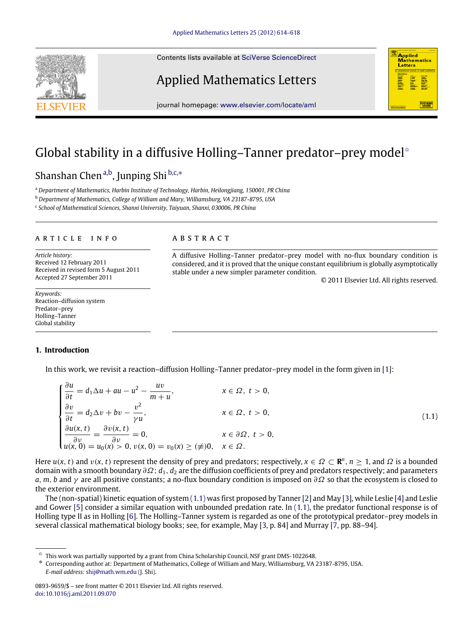Contents lists available at [SciVerse ScienceDirect](http://www.elsevier.com/locate/aml)

## Applied Mathematics Letters



## Global stability in a diffusive Holling–Tanner predator–prey model<sup>\*</sup>

A B S T R A C T

## Shanshan Chen<sup>[a,](#page-1-1)[b](#page-1-2)</sup>, Junping Shi b[,c,](#page-1-3)\*

<span id="page-1-1"></span><sup>a</sup> *Department of Mathematics, Harbin Institute of Technology, Harbin, Heilongjiang, 150001, PR China*

<span id="page-1-2"></span><sup>b</sup> *Department of Mathematics, College of William and Mary, Williamsburg, VA 23187-8795, USA*

<span id="page-1-3"></span>c *School of Mathematical Sciences, Shanxi University, Taiyuan, Shanxi, 030006, PR China*

### a r t i c l e i n f o

*Article history:* Received 12 February 2011 Received in revised form 5 August 2011 Accepted 27 September 2011

*Keywords:* Reaction–diffusion system Predator–prey Holling–Tanner Global stability

### **1. Introduction**

In this work, we revisit a reaction–diffusion Holling–Tanner predator–prey model in the form given in [\[1\]](#page-5-0):

$$
\begin{cases}\n\frac{\partial u}{\partial t} = d_1 \Delta u + au - u^2 - \frac{uv}{m+u}, & x \in \Omega, \ t > 0, \\
\frac{\partial v}{\partial t} = d_2 \Delta v + bv - \frac{v^2}{\gamma u}, & x \in \Omega, \ t > 0, \\
\frac{\partial u(x, t)}{\partial v} = \frac{\partial v(x, t)}{\partial v} = 0, & x \in \partial\Omega, \ t > 0, \\
u(x, 0) = u_0(x) > 0, v(x, 0) = v_0(x) \ge (\neq)0, & x \in \Omega.\n\end{cases}
$$
\n(1.1)

stable under a new simpler parameter condition.

A diffusive Holling–Tanner predator–prey model with no-flux boundary condition is considered, and it is proved that the unique constant equilibrium is globally asymptotically

<span id="page-1-5"></span>© 2011 Elsevier Ltd. All rights reserved.

**Applied Mathematics** Letters

Here  $u(x, t)$  and  $v(x, t)$  represent the density of prey and predators; respectively,  $x \in \Omega \subset \mathbb{R}^n$ ,  $n \ge 1$ , and  $\Omega$  is a bounded domain with a smooth boundary ∂Ω; *d*1, *d*<sup>2</sup> are the diffusion coefficients of prey and predators respectively; and parameters *a*, *m*, *b* and γ are all positive constants; a no-flux boundary condition is imposed on ∂Ω so that the ecosystem is closed to the exterior environment.

The (non-spatial) kinetic equation of system [\(1.1\)](#page-1-5) was first proposed by Tanner [\[2\]](#page-5-1) and May [\[3\]](#page-5-2), while Leslie [\[4\]](#page-5-3) and Leslie and Gower [\[5\]](#page-5-4) consider a similar equation with unbounded predation rate. In [\(1.1\),](#page-1-5) the predator functional response is of Holling type II as in Holling [\[6\]](#page-5-5). The Holling–Tanner system is regarded as one of the prototypical predator–prey models in several classical mathematical biology books; see, for example, May [\[3,](#page-5-2) p. 84] and Murray [\[7,](#page-5-6) pp. 88–94].



<span id="page-1-0"></span> $\overline{\mathbf{x}}$  This work was partially supported by a grant from China Scholarship Council, NSF grant DMS-1022648.

<span id="page-1-4"></span><sup>∗</sup> Corresponding author at: Department of Mathematics, College of William and Mary, Williamsburg, VA 23187-8795, USA. *E-mail address:* [shij@math.wm.edu](mailto:shij@math.wm.edu) (J. Shi).

<sup>0893-9659/\$ –</sup> see front matter © 2011 Elsevier Ltd. All rights reserved. [doi:10.1016/j.aml.2011.09.070](http://dx.doi.org/10.1016/j.aml.2011.09.070)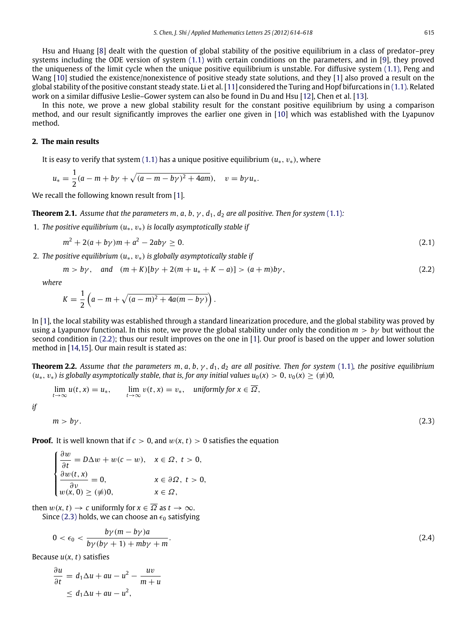Hsu and Huang [\[8\]](#page-5-7) dealt with the question of global stability of the positive equilibrium in a class of predator–prey systems including the ODE version of system [\(1.1\)](#page-1-5) with certain conditions on the parameters, and in [\[9\]](#page-5-8), they proved the uniqueness of the limit cycle when the unique positive equilibrium is unstable. For diffusive system [\(1.1\),](#page-1-5) Peng and Wang [\[10\]](#page-5-9) studied the existence/nonexistence of positive steady state solutions, and they [\[1\]](#page-5-0) also proved a result on the global stability of the positive constant steady state. Li et al. [\[11\]](#page-5-10) considered the Turing and Hopf bifurcations in [\(1.1\).](#page-1-5) Related work on a similar diffusive Leslie–Gower system can also be found in Du and Hsu [\[12\]](#page-5-11), Chen et al. [\[13\]](#page-5-12).

In this note, we prove a new global stability result for the constant positive equilibrium by using a comparison method, and our result significantly improves the earlier one given in [\[10\]](#page-5-9) which was established with the Lyapunov method.

### **2. The main results**

It is easy to verify that system [\(1.1\)](#page-1-5) has a unique positive equilibrium  $(u_*, v_*)$ , where

$$
u_* = \frac{1}{2}(a - m + b\gamma + \sqrt{(a - m - b\gamma)^2 + 4am}), \quad v = b\gamma u_*.
$$

We recall the following known result from [\[1\]](#page-5-0).

**Theorem 2.1.** Assume that the parameters m, a, b,  $\gamma$ ,  $d_1$ ,  $d_2$  are all positive. Then for system [\(1.1\)](#page-1-5):

1. *The positive equilibrium* (*u*∗, v∗) *is locally asymptotically stable if*

<span id="page-2-3"></span>
$$
m^2 + 2(a + b\gamma)m + a^2 - 2ab\gamma \ge 0. \tag{2.1}
$$

2. *The positive equilibrium* (*u*∗, v∗) *is globally asymptotically stable if*

$$
m > b\gamma
$$
, and  $(m + K)[b\gamma + 2(m + u_* + K - a)] > (a + m)b\gamma$ , (2.2)

*where*

$$
K=\frac{1}{2}\left(a-m+\sqrt{(a-m)^2+4a(m-b\gamma)}\right).
$$

In [\[1\]](#page-5-0), the local stability was established through a standard linearization procedure, and the global stability was proved by using a Lyapunov functional. In this note, we prove the global stability under only the condition *m* > *b*γ but without the second condition in [\(2.2\);](#page-2-0) thus our result improves on the one in [\[1\]](#page-5-0). Our proof is based on the upper and lower solution method in [\[14](#page-5-13)[,15\]](#page-5-14). Our main result is stated as:

**Theorem 2.2.** Assume that the parameters m, a, b,  $\gamma$ ,  $d_1$ ,  $d_2$  are all positive. Then for system [\(1.1\)](#page-1-5), the positive equilibrium  $(u_*, v_*)$  *is globally asymptotically stable, that is, for any initial values*  $u_0(x) > 0$ ,  $v_0(x) \geq (\neq)0$ ,

<span id="page-2-4"></span>
$$
\lim_{t \to \infty} u(t, x) = u_*, \qquad \lim_{t \to \infty} v(t, x) = v_*, \quad \text{uniformly for } x \in \overline{\Omega},
$$

*if*

$$
m > b\gamma. \tag{2.3}
$$

<span id="page-2-2"></span><span id="page-2-1"></span><span id="page-2-0"></span>

**Proof.** It is well known that if  $c > 0$ , and  $w(x, t) > 0$  satisfies the equation

$$
\begin{cases}\n\frac{\partial w}{\partial t} = D\Delta w + w(c - w), & x \in \Omega, \ t > 0, \\
\frac{\partial w(t, x)}{\partial v} = 0, & x \in \partial\Omega, \ t > 0, \\
w(x, 0) \ge (\neq)0, & x \in \Omega,\n\end{cases}
$$

then  $w(x, t) \to c$  uniformly for  $x \in \overline{\Omega}$  as  $t \to \infty$ . Since [\(2.3\)](#page-2-1) holds, we can choose an  $\epsilon_0$  satisfying

$$
\langle \epsilon_0 \rangle \langle \frac{b\gamma (m - b\gamma) a}{b\gamma (b\gamma + 1) + m b\gamma + m} \rangle \tag{2.4}
$$

Because *u*(*x*, *t*) satisfies

 $\Omega$ 

$$
\frac{\partial u}{\partial t} = d_1 \Delta u + au - u^2 - \frac{uv}{m+u}
$$
  

$$
\leq d_1 \Delta u + au - u^2,
$$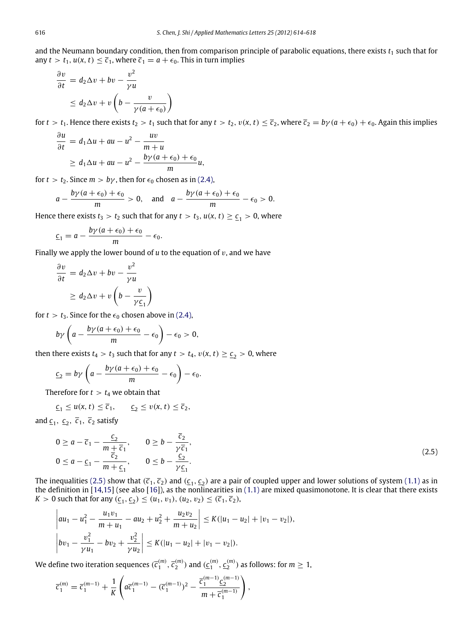and the Neumann boundary condition, then from comparison principle of parabolic equations, there exists  $t_1$  such that for any  $t > t_1$ ,  $u(x, t) \leq \overline{c}_1$ , where  $\overline{c}_1 = a + \epsilon_0$ . This in turn implies

$$
\frac{\partial v}{\partial t} = d_2 \Delta v + bv - \frac{v^2}{\gamma u} \leq d_2 \Delta v + v \left( b - \frac{v}{\gamma (a + \epsilon_0)} \right)
$$

for  $t > t_1$ . Hence there exists  $t_2 > t_1$  such that for any  $t > t_2$ ,  $v(x, t) \leq \overline{c}_2$ , where  $\overline{c}_2 = b\gamma(a + \epsilon_0) + \epsilon_0$ . Again this implies

$$
\frac{\partial u}{\partial t} = d_1 \Delta u + au - u^2 - \frac{uv}{m+u}
$$
  
\n
$$
\geq d_1 \Delta u + au - u^2 - \frac{b\gamma(a+\epsilon_0) + \epsilon_0}{m}u,
$$

for  $t > t_2$ . Since  $m > b\gamma$ , then for  $\epsilon_0$  chosen as in [\(2.4\),](#page-2-2)

$$
a-\frac{b\gamma(a+\epsilon_0)+\epsilon_0}{m}>0, \text{ and } a-\frac{b\gamma(a+\epsilon_0)+\epsilon_0}{m}-\epsilon_0>0.
$$

Hence there exists  $t_3 > t_2$  such that for any  $t > t_3$ ,  $u(x, t) \ge \underline{c}_1 > 0$ , where

$$
\underline{c}_1 = a - \frac{b\gamma(a+\epsilon_0) + \epsilon_0}{m} - \epsilon_0.
$$

Finally we apply the lower bound of  $u$  to the equation of  $v$ , and we have

$$
\frac{\partial v}{\partial t} = d_2 \Delta v + bv - \frac{v^2}{\gamma u}
$$
  
 
$$
\geq d_2 \Delta v + v \left( b - \frac{v}{\gamma \underline{c}_1} \right)
$$

for  $t > t_3$ . Since for the  $\epsilon_0$  chosen above in [\(2.4\),](#page-2-2)

$$
b\gamma\left(a-\frac{b\gamma(a+\epsilon_0)+\epsilon_0}{m}-\epsilon_0\right)-\epsilon_0>0,
$$

then there exists  $t_4 > t_3$  such that for any  $t > t_4$ ,  $v(x, t) \geq \underline{c}_2 > 0$ , where

$$
\underline{\epsilon}_2 = b\gamma \left( a - \frac{b\gamma (a + \epsilon_0) + \epsilon_0}{m} - \epsilon_0 \right) - \epsilon_0.
$$

Therefore for  $t > t_4$  we obtain that

<span id="page-3-0"></span>
$$
\underline{c}_1 \le u(x, t) \le \overline{c}_1, \qquad \underline{c}_2 \le v(x, t) \le \overline{c}_2,
$$

and  $\underline{c}_1$ ,  $\underline{c}_2$ ,  $\overline{c}_1$ ,  $\overline{c}_2$  satisfy

$$
0 \ge a - \overline{c}_1 - \frac{\underline{c}_2}{m + \overline{c}_1}, \qquad 0 \ge b - \frac{\overline{c}_2}{\gamma \overline{c}_1},
$$
  
\n
$$
0 \le a - \underline{c}_1 - \frac{\overline{c}_2}{m + \underline{c}_1}, \qquad 0 \le b - \frac{\underline{c}_2}{\gamma \underline{c}_1}.
$$
\n(2.5)

The inequalities [\(2.5\)](#page-3-0) show that  $(\bar{c}_1, \bar{c}_2)$  and ( $\underline{c}_1, \underline{c}_2$ ) are a pair of coupled upper and lower solutions of system [\(1.1\)](#page-1-5) as in the definition in [\[14,](#page-5-13)[15\]](#page-5-14) (see also [\[16\]](#page-5-15)), as the nonlinearities in [\(1.1\)](#page-1-5) are mixed quasimonotone. It is clear that there exists  $K > 0$  such that for any  $(\underline{c}_1, \underline{c}_2) \le (u_1, v_1), (u_2, v_2) \le (\overline{c}_1, \overline{c}_2)$ ,

$$
\begin{aligned}\n\left|au_1 - u_1^2 - \frac{u_1 v_1}{m + u_1} - au_2 + u_2^2 + \frac{u_2 v_2}{m + u_2}\right| &\le K(|u_1 - u_2| + |v_1 - v_2|), \\
\left|bv_1 - \frac{v_1^2}{\gamma u_1} - bv_2 + \frac{v_2^2}{\gamma u_2}\right| &\le K(|u_1 - u_2| + |v_1 - v_2|).\n\end{aligned}
$$

We define two iteration sequences  $(\overline{c}_1^{(m)},\overline{c}_2^{(m)})$  and  $(\underline{c}_1^{(m)},\underline{c}_2^{(m)})$  as follows: for  $m\geq 1,$ 

$$
\overline{c}_1^{(m)} = \overline{c}_1^{(m-1)} + \frac{1}{K} \left( a \overline{c}_1^{(m-1)} - (\overline{c}_1^{(m-1)})^2 - \frac{\overline{c}_1^{(m-1)} \underline{c}_2^{(m-1)}}{m + \overline{c}_1^{(m-1)}} \right),
$$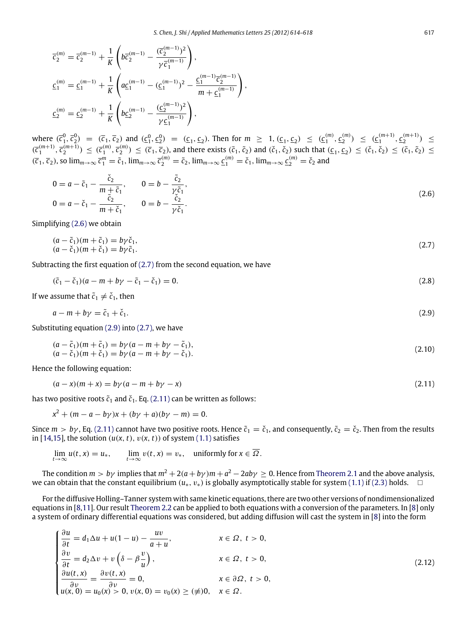$$
\begin{aligned}\n\overline{c}_2^{(m)} &= \overline{c}_2^{(m-1)} + \frac{1}{K} \left( b \overline{c}_2^{(m-1)} - \frac{(\overline{c}_2^{(m-1)})^2}{\gamma \overline{c}_1^{(m-1)}} \right), \\
\underline{c}_1^{(m)} &= \underline{c}_1^{(m-1)} + \frac{1}{K} \left( a \underline{c}_1^{(m-1)} - (\underline{c}_1^{(m-1)})^2 - \frac{\underline{c}_1^{(m-1)} \overline{c}_2^{(m-1)}}{m + \underline{c}_1^{(m-1)}} \right), \\
\underline{c}_2^{(m)} &= \underline{c}_2^{(m-1)} + \frac{1}{K} \left( b \underline{c}_2^{(m-1)} - \frac{(\underline{c}_2^{(m-1)})^2}{\gamma \underline{c}_1^{(m-1)}} \right),\n\end{aligned}
$$

where  $(\bar{c}_1^0, \bar{c}_2^0) = (\bar{c}_1, \bar{c}_2)$  and  $(\underline{c}_1^0, \underline{c}_2^0) = (\underline{c}_1, \underline{c}_2)$ . Then for  $m \geq 1$ ,  $(\underline{c}_1, \underline{c}_2) \leq (\underline{c}_1^{(m)}, \underline{c}_2^{(m)}) \leq (\underline{c}_1^{(m+1)}, \underline{c}_2^{(m+1)}) \leq$  $(\overline{c}_1^{(m+1)}, \overline{c}_2^{(m+1)}) \leq (\overline{c}_1^{(m)}, \overline{c}_2^{(m)}) \leq (\overline{c}_1, \overline{c}_2)$ , and there exists  $(\tilde{c}_1, \tilde{c}_2)$  and  $(\check{c}_1, \check{c}_2)$  such that  $(\underline{c}_1, \underline{c}_2) \leq (\check{c}_1, \check{c}_2) \leq (\check{c}_1, \tilde{c}_2) \leq$  $(\overline{c}_1, \overline{c}_2)$ , so  $\lim_{m\to\infty} \overline{c}_1^m = \tilde{c}_1$ ,  $\lim_{m\to\infty} \overline{c}_2^{(m)} = \tilde{c}_2$ ,  $\lim_{m\to\infty} \underline{c}_1^{(m)} = \tilde{c}_1$ ,  $\lim_{m\to\infty} \underline{c}_2^{(m)} = \tilde{c}_2$  and

<span id="page-4-0"></span>
$$
0 = a - \tilde{c}_1 - \frac{\check{c}_2}{m + \tilde{c}_1}, \qquad 0 = b - \frac{\tilde{c}_2}{\gamma \tilde{c}_1},
$$
  
\n
$$
0 = a - \check{c}_1 - \frac{\tilde{c}_2}{m + \tilde{c}_1}, \qquad 0 = b - \frac{\check{c}_2}{\gamma \tilde{c}_1}.
$$
\n(2.6)

Simplifying [\(2.6\)](#page-4-0) we obtain

<span id="page-4-1"></span>
$$
(a - \tilde{c}_1)(m + \tilde{c}_1) = b\gamma \tilde{c}_1,
$$
  
\n
$$
(a - \tilde{c}_1)(m + \tilde{c}_1) = b\gamma \tilde{c}_1.
$$
\n(2.7)

Subtracting the first equation of  $(2.7)$  from the second equation, we have

$$
(\tilde{c}_1 - \tilde{c}_1)(a - m + b\gamma - \tilde{c}_1 - \tilde{c}_1) = 0.
$$
\n(2.8)

If we assume that  $\tilde{c}_1 \neq \tilde{c}_1$ , then

<span id="page-4-2"></span>
$$
a - m + b\gamma = \tilde{c}_1 + \tilde{c}_1. \tag{2.9}
$$

Substituting equation [\(2.9\)](#page-4-2) into [\(2.7\),](#page-4-1) we have

$$
(a - \tilde{c}_1)(m + \tilde{c}_1) = b\gamma (a - m + b\gamma - \tilde{c}_1),
$$
  
\n
$$
(a - \tilde{c}_1)(m + \tilde{c}_1) = b\gamma (a - m + b\gamma - \tilde{c}_1).
$$
\n(2.10)

Hence the following equation:

<span id="page-4-3"></span>
$$
(a-x)(m+x) = b\gamma(a-m+b\gamma-x)
$$
\n
$$
(2.11)
$$

has two positive roots  $\tilde{c}_1$  and  $\tilde{c}_1$ . Eq. [\(2.11\)](#page-4-3) can be written as follows:

 $x^2 + (m - a - b\gamma)x + (b\gamma + a)(b\gamma - m) = 0.$ 

Since  $m > b\gamma$ , Eq. [\(2.11\)](#page-4-3) cannot have two positive roots. Hence  $\tilde{c}_1 = \tilde{c}_1$ , and consequently,  $\tilde{c}_2 = \tilde{c}_2$ . Then from the results in [\[14](#page-5-13)[,15\]](#page-5-14), the solution  $(u(x, t), v(x, t))$  of system [\(1.1\)](#page-1-5) satisfies

$$
\lim_{t\to\infty} u(t,x) = u_*, \qquad \lim_{t\to\infty} v(t,x) = v_*, \quad \text{uniformly for } x \in \overline{\Omega}.
$$

The condition  $m > b\gamma$  implies that  $m^2 + 2(a + b\gamma)m + a^2 - 2ab\gamma \geq 0$ . Hence from [Theorem 2.1](#page-2-3) and the above analysis, we can obtain that the constant equilibrium (*u*<sub>∗</sub>, *v*<sub>∗</sub>) is globally asymptotically stable for system [\(1.1\)](#page-1-5) if [\(2.3\)](#page-2-1) holds. □

For the diffusive Holling–Tanner system with same kinetic equations, there are two other versions of nondimensionalized equations in [\[8](#page-5-7)[,11\]](#page-5-10). Our result [Theorem 2.2](#page-2-4) can be applied to both equations with a conversion of the parameters. In [\[8\]](#page-5-7) only a system of ordinary differential equations was considered, but adding diffusion will cast the system in [\[8\]](#page-5-7) into the form

<span id="page-4-4"></span>
$$
\begin{cases}\n\frac{\partial u}{\partial t} = d_1 \Delta u + u(1 - u) - \frac{uv}{a + u}, & x \in \Omega, \ t > 0, \\
\frac{\partial v}{\partial t} = d_2 \Delta v + v \left(\delta - \beta \frac{v}{u}\right), & x \in \Omega, \ t > 0, \\
\frac{\partial u(t, x)}{\partial v} = \frac{\partial v(t, x)}{\partial v} = 0, & x \in \partial\Omega, \ t > 0, \\
u(x, 0) = u_0(x) > 0, v(x, 0) = v_0(x) \ge (\neq)0, \ x \in \Omega.\n\end{cases}
$$
\n(2.12)